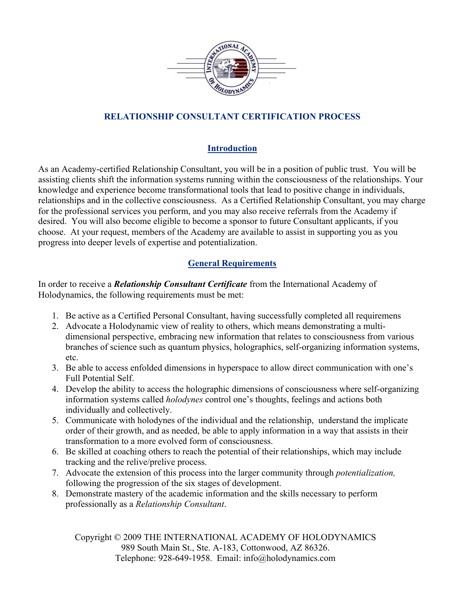

# **RELATIONSHIP CONSULTANT CERTIFICATION PROCESS**

# **Introduction**

As an Academy-certified Relationship Consultant, you will be in a position of public trust. You will be assisting clients shift the information systems running within the consciousness of the relationships. Your knowledge and experience become transformational tools that lead to positive change in individuals, relationships and in the collective consciousness. As a Certified Relationship Consultant, you may charge for the professional services you perform, and you may also receive referrals from the Academy if desired. You will also become eligible to become a sponsor to future Consultant applicants, if you choose. At your request, members of the Academy are available to assist in supporting you as you progress into deeper levels of expertise and potentialization.

# **General Requirements**

In order to receive a *Relationship Consultant Certificate* from the International Academy of Holodynamics, the following requirements must be met:

- 1. Be active as a Certified Personal Consultant, having successfully completed all requiremens
- 2. Advocate a Holodynamic view of reality to others, which means demonstrating a multidimensional perspective, embracing new information that relates to consciousness from various branches of science such as quantum physics, holographics, self-organizing information systems, etc.
- 3. Be able to access enfolded dimensions in hyperspace to allow direct communication with one's Full Potential Self.
- 4. Develop the ability to access the holographic dimensions of consciousness where self-organizing information systems called *holodynes* control one's thoughts, feelings and actions both individually and collectively.
- 5. Communicate with holodynes of the individual and the relationship, understand the implicate order of their growth, and as needed, be able to apply information in a way that assists in their transformation to a more evolved form of consciousness.
- 6. Be skilled at coaching others to reach the potential of their relationships, which may include tracking and the relive/prelive process.
- 7. Advocate the extension of this process into the larger community through *potentialization,* following the progression of the six stages of development.
- 8. Demonstrate mastery of the academic information and the skills necessary to perform professionally as a *Relationship Consultant*.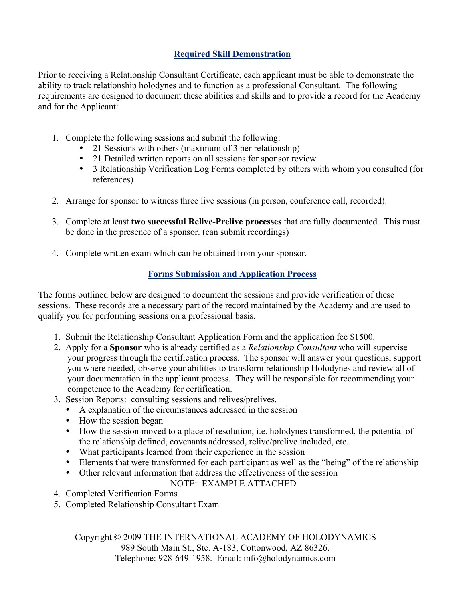# **Required Skill Demonstration**

Prior to receiving a Relationship Consultant Certificate, each applicant must be able to demonstrate the ability to track relationship holodynes and to function as a professional Consultant. The following requirements are designed to document these abilities and skills and to provide a record for the Academy and for the Applicant:

- 1. Complete the following sessions and submit the following:
	- 21 Sessions with others (maximum of 3 per relationship)
	- 21 Detailed written reports on all sessions for sponsor review
	- 3 Relationship Verification Log Forms completed by others with whom you consulted (for references)
- 2. Arrange for sponsor to witness three live sessions (in person, conference call, recorded).
- 3. Complete at least **two successful Relive-Prelive processes** that are fully documented. This must be done in the presence of a sponsor. (can submit recordings)
- 4. Complete written exam which can be obtained from your sponsor.

# **Forms Submission and Application Process**

The forms outlined below are designed to document the sessions and provide verification of these sessions. These records are a necessary part of the record maintained by the Academy and are used to qualify you for performing sessions on a professional basis.

- 1. Submit the Relationship Consultant Application Form and the application fee \$1500.
- 2. Apply for a **Sponsor** who is already certified as a *Relationship Consultant* who will supervise your progress through the certification process. The sponsor will answer your questions, support you where needed, observe your abilities to transform relationship Holodynes and review all of your documentation in the applicant process. They will be responsible for recommending your competence to the Academy for certification.
- 3. Session Reports: consulting sessions and relives/prelives.
	- A explanation of the circumstances addressed in the session
	- How the session began
	- How the session moved to a place of resolution, i.e. holodynes transformed, the potential of the relationship defined, covenants addressed, relive/prelive included, etc.
	- What participants learned from their experience in the session
	- Elements that were transformed for each participant as well as the "being" of the relationship
	- Other relevant information that address the effectiveness of the session

### NOTE: EXAMPLE ATTACHED

- 4. Completed Verification Forms
- 5. Completed Relationship Consultant Exam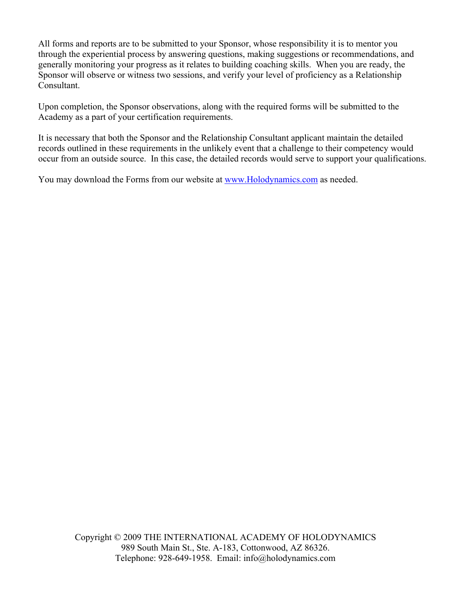All forms and reports are to be submitted to your Sponsor, whose responsibility it is to mentor you through the experiential process by answering questions, making suggestions or recommendations, and generally monitoring your progress as it relates to building coaching skills. When you are ready, the Sponsor will observe or witness two sessions, and verify your level of proficiency as a Relationship Consultant.

Upon completion, the Sponsor observations, along with the required forms will be submitted to the Academy as a part of your certification requirements.

It is necessary that both the Sponsor and the Relationship Consultant applicant maintain the detailed records outlined in these requirements in the unlikely event that a challenge to their competency would occur from an outside source. In this case, the detailed records would serve to support your qualifications.

You may download the Forms from our website at www.Holodynamics.com as needed.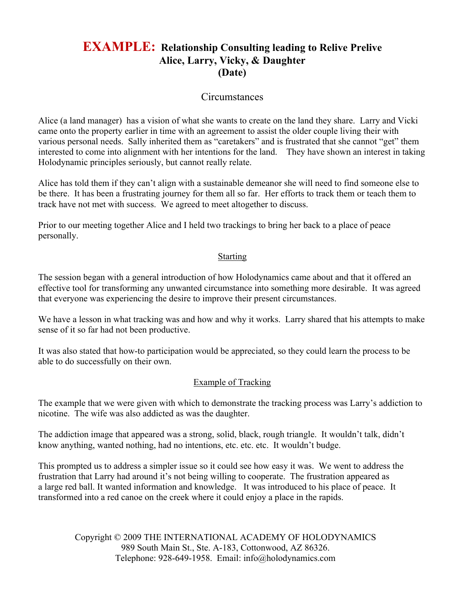# **EXAMPLE: Relationship Consulting leading to Relive Prelive Alice, Larry, Vicky, & Daughter (Date)**

# **Circumstances**

Alice (a land manager) has a vision of what she wants to create on the land they share. Larry and Vicki came onto the property earlier in time with an agreement to assist the older couple living their with various personal needs. Sally inherited them as "caretakers" and is frustrated that she cannot "get" them interested to come into alignment with her intentions for the land. They have shown an interest in taking Holodynamic principles seriously, but cannot really relate.

Alice has told them if they can't align with a sustainable demeanor she will need to find someone else to be there. It has been a frustrating journey for them all so far. Her efforts to track them or teach them to track have not met with success. We agreed to meet altogether to discuss.

Prior to our meeting together Alice and I held two trackings to bring her back to a place of peace personally.

### **Starting**

The session began with a general introduction of how Holodynamics came about and that it offered an effective tool for transforming any unwanted circumstance into something more desirable. It was agreed that everyone was experiencing the desire to improve their present circumstances.

We have a lesson in what tracking was and how and why it works. Larry shared that his attempts to make sense of it so far had not been productive.

It was also stated that how-to participation would be appreciated, so they could learn the process to be able to do successfully on their own.

### Example of Tracking

The example that we were given with which to demonstrate the tracking process was Larry's addiction to nicotine. The wife was also addicted as was the daughter.

The addiction image that appeared was a strong, solid, black, rough triangle. It wouldn't talk, didn't know anything, wanted nothing, had no intentions, etc. etc. etc. It wouldn't budge.

This prompted us to address a simpler issue so it could see how easy it was. We went to address the frustration that Larry had around it's not being willing to cooperate. The frustration appeared as a large red ball. It wanted information and knowledge. It was introduced to his place of peace. It transformed into a red canoe on the creek where it could enjoy a place in the rapids.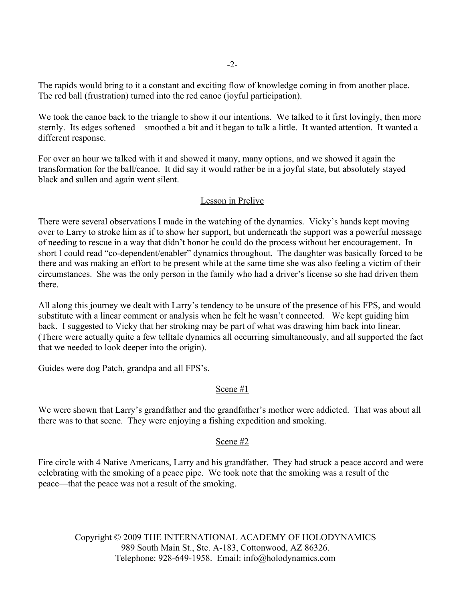The rapids would bring to it a constant and exciting flow of knowledge coming in from another place. The red ball (frustration) turned into the red canoe (joyful participation).

We took the canoe back to the triangle to show it our intentions. We talked to it first lovingly, then more sternly. Its edges softened—smoothed a bit and it began to talk a little. It wanted attention. It wanted a different response.

For over an hour we talked with it and showed it many, many options, and we showed it again the transformation for the ball/canoe. It did say it would rather be in a joyful state, but absolutely stayed black and sullen and again went silent.

### Lesson in Prelive

There were several observations I made in the watching of the dynamics. Vicky's hands kept moving over to Larry to stroke him as if to show her support, but underneath the support was a powerful message of needing to rescue in a way that didn't honor he could do the process without her encouragement. In short I could read "co-dependent/enabler" dynamics throughout. The daughter was basically forced to be there and was making an effort to be present while at the same time she was also feeling a victim of their circumstances. She was the only person in the family who had a driver's license so she had driven them there.

All along this journey we dealt with Larry's tendency to be unsure of the presence of his FPS, and would substitute with a linear comment or analysis when he felt he wasn't connected. We kept guiding him back. I suggested to Vicky that her stroking may be part of what was drawing him back into linear. (There were actually quite a few telltale dynamics all occurring simultaneously, and all supported the fact that we needed to look deeper into the origin).

Guides were dog Patch, grandpa and all FPS's.

### Scene #1

We were shown that Larry's grandfather and the grandfather's mother were addicted. That was about all there was to that scene. They were enjoying a fishing expedition and smoking.

### Scene #2

Fire circle with 4 Native Americans, Larry and his grandfather. They had struck a peace accord and were celebrating with the smoking of a peace pipe. We took note that the smoking was a result of the peace—that the peace was not a result of the smoking.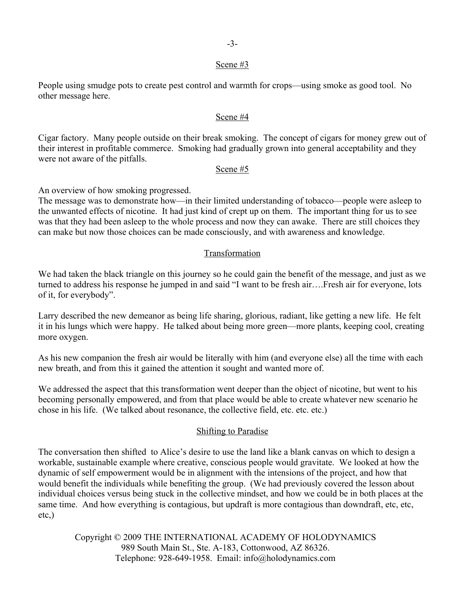#### -3-

#### Scene #3

People using smudge pots to create pest control and warmth for crops—using smoke as good tool. No other message here.

### Scene #4

Cigar factory. Many people outside on their break smoking. The concept of cigars for money grew out of their interest in profitable commerce. Smoking had gradually grown into general acceptability and they were not aware of the pitfalls.

### Scene #5

An overview of how smoking progressed.

The message was to demonstrate how—in their limited understanding of tobacco—people were asleep to the unwanted effects of nicotine. It had just kind of crept up on them. The important thing for us to see was that they had been asleep to the whole process and now they can awake. There are still choices they can make but now those choices can be made consciously, and with awareness and knowledge.

### Transformation

We had taken the black triangle on this journey so he could gain the benefit of the message, and just as we turned to address his response he jumped in and said "I want to be fresh air….Fresh air for everyone, lots of it, for everybody".

Larry described the new demeanor as being life sharing, glorious, radiant, like getting a new life. He felt it in his lungs which were happy. He talked about being more green—more plants, keeping cool, creating more oxygen.

As his new companion the fresh air would be literally with him (and everyone else) all the time with each new breath, and from this it gained the attention it sought and wanted more of.

We addressed the aspect that this transformation went deeper than the object of nicotine, but went to his becoming personally empowered, and from that place would be able to create whatever new scenario he chose in his life. (We talked about resonance, the collective field, etc. etc. etc.)

### Shifting to Paradise

The conversation then shifted to Alice's desire to use the land like a blank canvas on which to design a workable, sustainable example where creative, conscious people would gravitate. We looked at how the dynamic of self empowerment would be in alignment with the intensions of the project, and how that would benefit the individuals while benefiting the group. (We had previously covered the lesson about individual choices versus being stuck in the collective mindset, and how we could be in both places at the same time. And how everything is contagious, but updraft is more contagious than downdraft, etc, etc, etc,)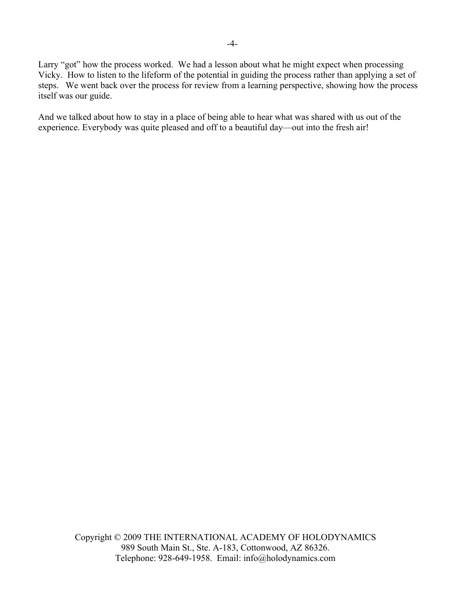Larry "got" how the process worked. We had a lesson about what he might expect when processing Vicky. How to listen to the lifeform of the potential in guiding the process rather than applying a set of steps. We went back over the process for review from a learning perspective, showing how the process itself was our guide.

And we talked about how to stay in a place of being able to hear what was shared with us out of the experience. Everybody was quite pleased and off to a beautiful day—out into the fresh air!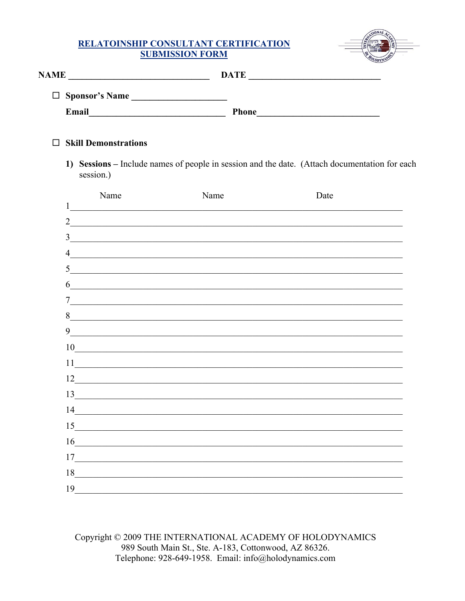# RELATOINSHIP CONSULTANT CERTIFICATION **SUBMISSION FORM**



| <b>NAME</b>           | <b>DATE</b>  |
|-----------------------|--------------|
| $\Box$ Sponsor's Name |              |
| Email                 | <b>Phone</b> |

### $\Box$  Skill Demonstrations

1) Sessions – Include names of people in session and the date. (Attach documentation for each session.)

|                | Name                                                                                                                  | Name | Date |
|----------------|-----------------------------------------------------------------------------------------------------------------------|------|------|
| 1              |                                                                                                                       |      |      |
| $\overline{2}$ | <u> 1989 - Johann Stoff, deutscher Stoff, der Stoff, der Stoff, der Stoff, der Stoff, der Stoff, der Stoff, der S</u> |      |      |
| 3              |                                                                                                                       |      |      |
| $\overline{4}$ |                                                                                                                       |      |      |
| 5              | <u> 1989 - Johann Barbara, margaret eta idazlearia (h. 1989).</u>                                                     |      |      |
| 6              | <u> 1989 - Johann John Stein, mars et al. 1989 - John Stein Berger, mars et al. 1989 - John Stein Berger, mars et</u> |      |      |
| $\tau$         |                                                                                                                       |      |      |
| 8              | <u> 1980 - John Stein, Amerikaansk politiker (</u> † 1920)                                                            |      |      |
| 9              | <u> 1989 - Andrea Andrew Maria (h. 1989).</u>                                                                         |      |      |
| 10             |                                                                                                                       |      |      |
| 11             | <u> 1989 - Johann Harry Barn, margaret eta idazlea (h. 1989).</u>                                                     |      |      |
| 12             |                                                                                                                       |      |      |
| 13             |                                                                                                                       |      |      |
| 14             | <u> 1989 - Johann Barn, mars ar breithinn ar chuid ann an t-Alban ann an t-Alban ann an t-Alban ann an t-Alban a</u>  |      |      |
| 15             | the control of the control of the control of the control of the control of the control of                             |      |      |
| 16             |                                                                                                                       |      |      |
| 17             |                                                                                                                       |      |      |
| 18             | <u> 1980 - Johann Stoff, fransk politik (d. 1980)</u>                                                                 |      |      |
| 19             |                                                                                                                       |      |      |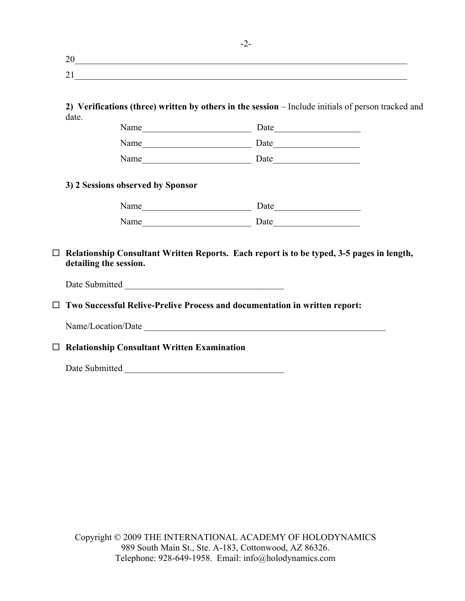| ∼ |  |  |  |
|---|--|--|--|
|   |  |  |  |

**2) Verifications (three) written by others in the session** – Include initials of person tracked and date.

| Name | Date |
|------|------|
| Name | Date |
| Name | Date |

### **3) 2 Sessions observed by Sponsor**

| Name | Date |
|------|------|
| Name | Date |

 **Relationship Consultant Written Reports. Each report is to be typed, 3-5 pages in length, detailing the session.**

Date Submitted

**Two Successful Relive-Prelive Process and documentation in written report:**

Name/Location/Date \_\_\_\_\_\_\_\_\_\_\_\_\_\_\_\_\_\_\_\_\_\_\_\_\_\_\_\_\_\_\_\_\_\_\_\_\_\_\_\_\_\_\_\_\_\_\_\_\_\_\_\_\_

**Relationship Consultant Written Examination**

Date Submitted \_\_\_\_\_\_\_\_\_\_\_\_\_\_\_\_\_\_\_\_\_\_\_\_\_\_\_\_\_\_\_\_\_\_\_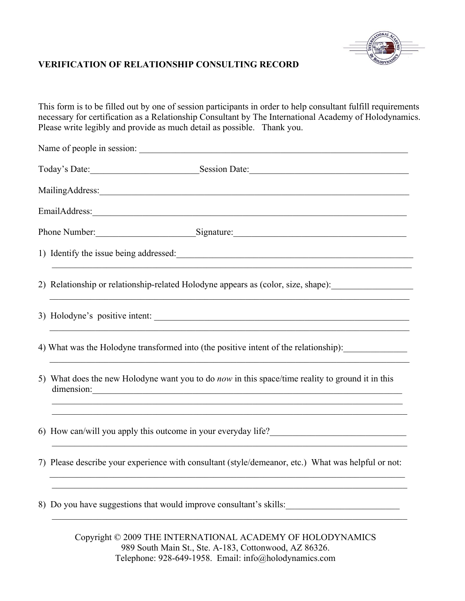

# **VERIFICATION OF RELATIONSHIP CONSULTING RECORD**

This form is to be filled out by one of session participants in order to help consultant fulfill requirements necessary for certification as a Relationship Consultant by The International Academy of Holodynamics. Please write legibly and provide as much detail as possible. Thank you.

| MailingAddress:                                                                                                                                                                       |  |  |
|---------------------------------------------------------------------------------------------------------------------------------------------------------------------------------------|--|--|
|                                                                                                                                                                                       |  |  |
| Phone Number: Signature: Signature:                                                                                                                                                   |  |  |
| 1) Identify the issue being addressed:                                                                                                                                                |  |  |
| 2) Relationship or relationship-related Holodyne appears as (color, size, shape):                                                                                                     |  |  |
| 3) Holodyne's positive intent:                                                                                                                                                        |  |  |
| 4) What was the Holodyne transformed into (the positive intent of the relationship):                                                                                                  |  |  |
| 5) What does the new Holodyne want you to do <i>now</i> in this space/time reality to ground it in this<br>dimension:                                                                 |  |  |
| <u> 1999 - 1999 - 1999 - 1999 - 1999 - 1999 - 1999 - 1999 - 1999 - 1999 - 1999 - 1999 - 1999 - 1999 - 1999 - 199</u><br>6) How can/will you apply this outcome in your everyday life? |  |  |
| 7) Please describe your experience with consultant (style/demeanor, etc.) What was helpful or not:                                                                                    |  |  |
| 8) Do you have suggestions that would improve consultant's skills:<br><u> 1989 - Johann Barbara, martxa alemaniar a</u>                                                               |  |  |
|                                                                                                                                                                                       |  |  |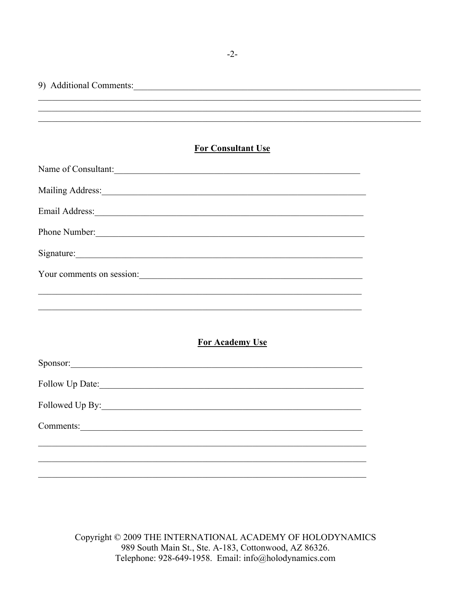| 9) Additional Comments:                                                                                                                                                                                                        |  |
|--------------------------------------------------------------------------------------------------------------------------------------------------------------------------------------------------------------------------------|--|
|                                                                                                                                                                                                                                |  |
|                                                                                                                                                                                                                                |  |
| <b>For Consultant Use</b>                                                                                                                                                                                                      |  |
| Name of Consultant:                                                                                                                                                                                                            |  |
| Mailing Address:                                                                                                                                                                                                               |  |
| Email Address: 1988 and 2008 and 2008 and 2008 and 2008 and 2008 and 2008 and 2008 and 2008 and 2008 and 2008 and 2008 and 2008 and 2008 and 2008 and 2008 and 2008 and 2008 and 2008 and 2008 and 2008 and 2008 and 2008 and  |  |
| Phone Number:                                                                                                                                                                                                                  |  |
| Signature: Signature: Signature: Signature: Signature: Signature: Signature: Signature: Signature: Signature: Signature: Signature: Signature: Signature: Signature: Signature: Signature: Signature: Signature: Signature: Si |  |
| Your comments on session:                                                                                                                                                                                                      |  |
|                                                                                                                                                                                                                                |  |
| <u> 1989 - Johann Stoff, amerikansk politiker (d. 1989)</u>                                                                                                                                                                    |  |
| <b>For Academy Use</b>                                                                                                                                                                                                         |  |
| Sponsor:                                                                                                                                                                                                                       |  |
| Follow Up Date:                                                                                                                                                                                                                |  |
|                                                                                                                                                                                                                                |  |
|                                                                                                                                                                                                                                |  |
|                                                                                                                                                                                                                                |  |
|                                                                                                                                                                                                                                |  |